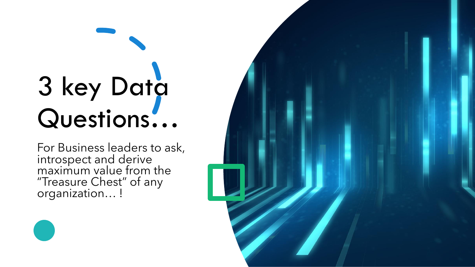# 3 key Data Questions…

For Business leaders to ask, introspect and derive maximum value from the "Treasure Chest" of any organization… !

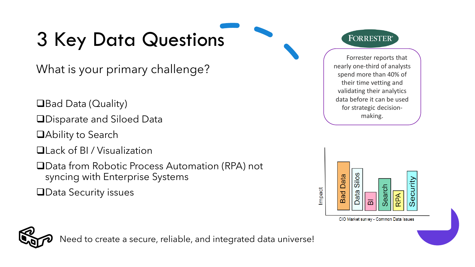## 3 Key Data Questions

What is your primary challenge?

❑Bad Data (Quality)

❑Disparate and Siloed Data

- ❑Ability to Search
- ❑Lack of BI / Visualization
- ❑Data from Robotic Process Automation (RPA) not syncing with Enterprise Systems

❑Data Security issues

**FORRESTER®** 

Forrester reports that nearly one-third of analysts spend more than 40% of their time vetting and validating their analytics data before it can be used for strategic decisionmaking.





Need to create a secure, reliable, and integrated data universe!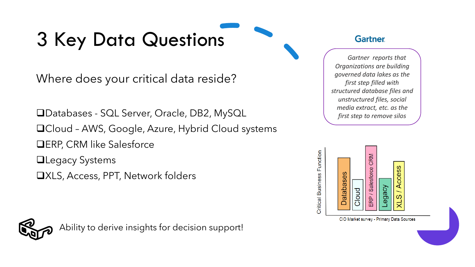### 3 Key Data Questions

Where does your critical data reside?

❑Databases - SQL Server, Oracle, DB2, MySQL ❑Cloud – AWS, Google, Azure, Hybrid Cloud systems ❑ERP, CRM like Salesforce

❑Legacy Systems

❑XLS, Access, PPT, Network folders



Ability to derive insights for decision support!

#### **Gartner**

*Gartner reports that Organizations are building governed data lakes as the first step filled with structured database files and unstructured files, social media extract, etc. as the first step to remove silos*

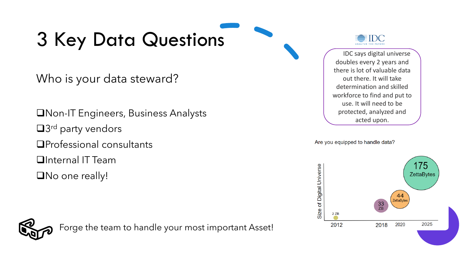### 3 Key Data Questions

Who is your data steward?

❑Non-IT Engineers, Business Analysts ■3<sup>rd</sup> party vendors ❑Professional consultants ❑Internal IT Team ❑No one really!

Forge the team to handle your most important Asset!

IDC says digital universe doubles every 2 years and there is lot of valuable data out there. It will take determination and skilled workforce to find and put to use. It will need to be protected, analyzed and acted upon.

Are you equipped to handle data?